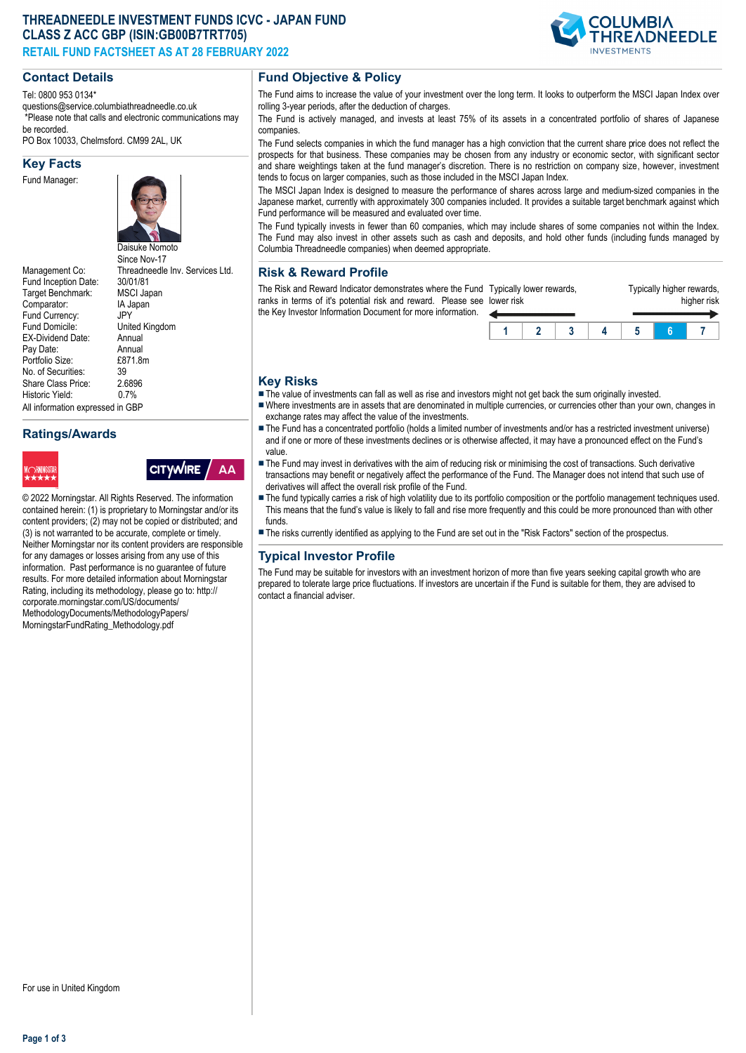## **THREADNEEDLE INVESTMENT FUNDS ICVC - JAPAN FUND CLASS Z ACC GBP (ISIN:GB00B7TRT705) RETAIL FUND FACTSHEET AS AT 28 FEBRUARY 2022**

#### **Contact Details**

Tel: 0800 953 0134\*

questions@service.columbiathreadneedle.co.uk \*Please note that calls and electronic communications may

PO Box 10033, Chelmsford. CM99 2AL, UK

#### **Key Facts**

Fund Manager:



Management Co: Threadneedle Inv. Services Ltd.<br>Fund Inception Date: 30/01/81 Fund Inception Date: 30/01/81<br>Target Benchmark: MSCL Japan Target Benchmark: Comparator: IA Japan<br>Fund Currency: IPY Fund Currency:<br>Fund Domicile: United Kingdom<br>Annual EX-Dividend Date: Annual<br>Pay Date: Annual Pay Date: Annual<br>Portfolio Size: F871 8m Portfolio Size: £8<br>No. of Securities: 39 No. of Securities: 39<br>Share Class Price: 2.6896 Share Class Price: 2.689<br>Historic Vield: 0.7% Historic Yield: All information expressed in GBP

## **Ratings/Awards**



be recorded.

# **Fund Objective & Policy**

The Fund aims to increase the value of your investment over the long term. It looks to outperform the MSCI Japan Index over rolling 3-year periods, after the deduction of charges.

The Fund is actively managed, and invests at least 75% of its assets in a concentrated portfolio of shares of Japanese companies.

The Fund selects companies in which the fund manager has a high conviction that the current share price does not reflect the prospects for that business. These companies may be chosen from any industry or economic sector, with significant sector and share weightings taken at the fund manager's discretion. There is no restriction on company size, however, investment tends to focus on larger companies, such as those included in the MSCI Japan Index.

The MSCI Japan Index is designed to measure the performance of shares across large and medium-sized companies in the Japanese market, currently with approximately 300 companies included. It provides a suitable target benchmark against which Fund performance will be measured and evaluated over time.

The Fund typically invests in fewer than 60 companies, which may include shares of some companies not within the Index. The Fund may also invest in other assets such as cash and deposits, and hold other funds (including funds managed by Columbia Threadneedle companies) when deemed appropriate.

## **Risk & Reward Profile**

The Risk and Reward Indicator demonstrates where the Fund Typically lower rewards, ranks in terms of it's potential risk and reward. Please see lower risk the Key Investor Information Document for more information.



#### **Key Risks**

- n The value of investments can fall as well as rise and investors might not get back the sum originally invested.
- nWhere investments are in assets that are denominated in multiple currencies, or currencies other than your own, changes in exchange rates may affect the value of the investments.
- The Fund has a concentrated portfolio (holds a limited number of investments and/or has a restricted investment universe) and if one or more of these investments declines or is otherwise affected, it may have a pronounced effect on the Fund's value.
- The Fund may invest in derivatives with the aim of reducing risk or minimising the cost of transactions. Such derivative transactions may benefit or negatively affect the performance of the Fund. The Manager does not intend that such use of derivatives will affect the overall risk profile of the Fund.
- The fund typically carries a risk of high volatility due to its portfolio composition or the portfolio management techniques used. This means that the fund's value is likely to fall and rise more frequently and this could be more pronounced than with other funds.
- n The risks currently identified as applying to the Fund are set out in the "Risk Factors" section of the prospectus.

#### **Typical Investor Profile**

The Fund may be suitable for investors with an investment horizon of more than five years seeking capital growth who are prepared to tolerate large price fluctuations. If investors are uncertain if the Fund is suitable for them, they are advised to contact a financial adviser.

contained herein: (1) is proprietary to Morningstar and/or its content providers; (2) may not be copied or distributed; and (3) is not warranted to be accurate, complete or timely. Neither Morningstar nor its content providers are responsible for any damages or losses arising from any use of this information. Past performance is no guarantee of future results. For more detailed information about Morningstar Rating, including its methodology, please go to: http:// corporate.morningstar.com/US/documents/ MethodologyDocuments/MethodologyPapers/ MorningstarFundRating\_Methodology.pdf

© 2022 Morningstar. All Rights Reserved. The information

**CITYWIRE** 

AA

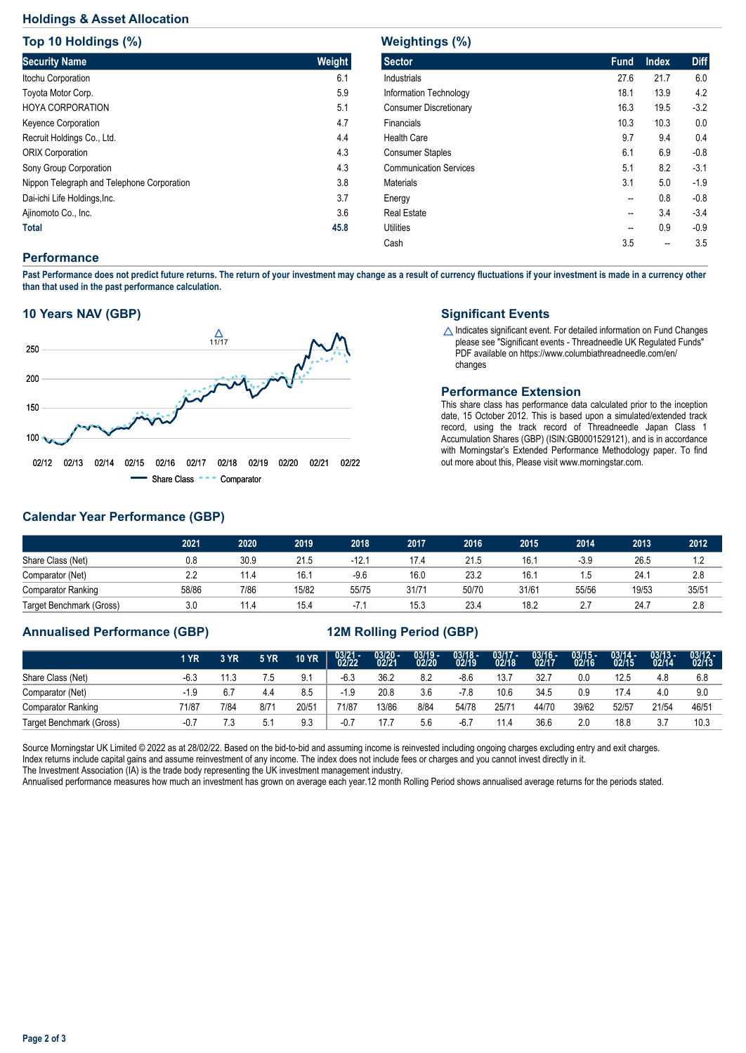## **Holdings & Asset Allocation**

**Top 10 Holdings (%)**

| <b>TOD 10 HOIGINGS (%)</b>                 |               |
|--------------------------------------------|---------------|
| <b>Security Name</b>                       | <b>Weight</b> |
| Itochu Corporation                         | 6.1           |
| Toyota Motor Corp.                         | 5.9           |
| <b>HOYA CORPORATION</b>                    | 5.1           |
| <b>Keyence Corporation</b>                 | 4.7           |
| Recruit Holdings Co., Ltd.                 | 4.4           |
| <b>ORIX Corporation</b>                    | 4.3           |
| Sony Group Corporation                     | 4.3           |
| Nippon Telegraph and Telephone Corporation | 3.8           |
| Dai-ichi Life Holdings, Inc.               | 3.7           |
| Ajinomoto Co., Inc.                        | 3.6           |
| <b>Total</b>                               | 45.8          |

## **Weightings (%)**

| waighthigs (70)               |                          |              |             |
|-------------------------------|--------------------------|--------------|-------------|
| <b>Sector</b>                 | <b>Fund</b>              | <b>Index</b> | <b>Diff</b> |
| <b>Industrials</b>            | 27.6                     | 21.7         | 6.0         |
| Information Technology        | 18.1                     | 13.9         | 4.2         |
| <b>Consumer Discretionary</b> | 16.3                     | 19.5         | $-3.2$      |
| Financials                    | 10.3                     | 10.3         | 0.0         |
| <b>Health Care</b>            | 9.7                      | 9.4          | 0.4         |
| <b>Consumer Staples</b>       | 6.1                      | 6.9          | $-0.8$      |
| <b>Communication Services</b> | 5.1                      | 8.2          | $-3.1$      |
| <b>Materials</b>              | 3.1                      | 5.0          | $-1.9$      |
| Energy                        | --                       | 0.8          | $-0.8$      |
| <b>Real Estate</b>            | --                       | 3.4          | $-3.4$      |
| <b>Utilities</b>              | $\overline{\phantom{a}}$ | 0.9          | $-0.9$      |
| Cash                          | 3.5                      | --           | 3.5         |
|                               |                          |              |             |

#### **Performance**

**Past Performance does not predict future returns. The return of your investment may change as a result of currency fluctuations if your investment is made in a currency other than that used in the past performance calculation.** 

#### **10 Years NAV (GBP)**



#### **Significant Events**

 $\triangle$  Indicates significant event. For detailed information on Fund Changes please see "Significant events - Threadneedle UK Regulated Funds" PDF available on https://www.columbiathreadneedle.com/en/ changes

#### **Performance Extension**

This share class has performance data calculated prior to the inception date, 15 October 2012. This is based upon a simulated/extended track record, using the track record of Threadneedle Japan Class 1 Accumulation Shares (GBP) (ISIN:GB0001529121), and is in accordance with Morningstar's Extended Performance Methodology paper. To find out more about this, Please visit www.morningstar.com.

## **Calendar Year Performance (GBP)**

|                           | 2021  | 2020 | 2019  | 2018    | 2017  | 2016  | 2015  | 2014   | 2013  | 2012  |
|---------------------------|-------|------|-------|---------|-------|-------|-------|--------|-------|-------|
| Share Class (Net)         | 0.8   | 30.9 | 21.5  | $-12.1$ | 17.4  | 21.5  | 16.7  | $-3.9$ | 26.5  |       |
| Comparator (Net)          | 2.2   | 11.4 | 16.1  | $-9.6$  | 16.0  | 23.2  | 16.7  | l.5    | 24.7  | 2.8   |
| <b>Comparator Ranking</b> | 58/86 | 7/86 | 15/82 | 55/75   | 31/71 | 50/70 | 31/61 | 55/56  | 19/53 | 35/51 |
| Target Benchmark (Gross)  | 3.0   | 11.4 | 15.4  | $-7.7$  | 15.3  | 23.4  | 18.2  | 2.7    | 24.7  | 2.8   |

## **Annualised Performance (GBP) 12M Rolling Period (GBP)**

|                           | 1 YR   | 3 YR | 5 YR. | <b>10 YR</b> | $03/21 - 02/22$ | $03/20 -$<br>02/21 | $03/19 -$<br>02/20 | $03/18 -$<br>02/19 | $03/17 -$<br>02/18 | $03/16 -$<br>02/17 | $03/15 -$<br>02/16 | $03/14 -$<br>02/15 | $03/13 -$<br>02/14 | $03/12 -$<br>02/13 |
|---------------------------|--------|------|-------|--------------|-----------------|--------------------|--------------------|--------------------|--------------------|--------------------|--------------------|--------------------|--------------------|--------------------|
| Share Class (Net)         | $-6.3$ | 11.3 | 7.5   | 9.1          | $-6.3$          | 36.2               | 8.2                | $-8.6$             | 13.7               | 32.7               | 0.0                | 12.5               | 4.8                | 6.8                |
| Comparator (Net)          | -1.9   | 6.7  | 4.4   | 8.5          | $-1.9$          | 20.8               | 3.6                | $-7.8$             | 10.6               | 34.5               | 0.9                | 17.4               | 4.0                | 9.0                |
| <b>Comparator Ranking</b> | 71/87  | 7/84 | 8/71  | 20/51        | 71/87           | 13/86              | 8/84               | 54/78              | 25/7               | 44/70              | 39/62              | 52/57              | 21/54              | 46/51              |
| Target Benchmark (Gross)  | $-0.7$ | 7.3  | 5.1   | 9.3          | $-0.7$          |                    | 5.6                | $-6.7$             | 11.4               | 36.6               | 2.0                | 18.8               | 3.7                | 10.3               |

Source Morningstar UK Limited © 2022 as at 28/02/22. Based on the bid-to-bid and assuming income is reinvested including ongoing charges excluding entry and exit charges. Index returns include capital gains and assume reinvestment of any income. The index does not include fees or charges and you cannot invest directly in it. The Investment Association (IA) is the trade body representing the UK investment management industry.

Annualised performance measures how much an investment has grown on average each year.12 month Rolling Period shows annualised average returns for the periods stated.